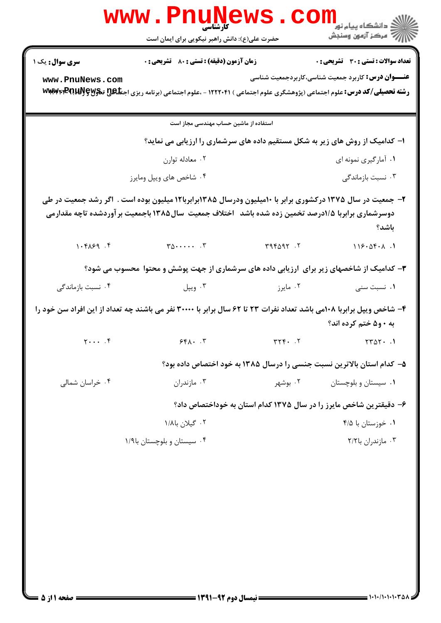|                             | <b>www.PnuNews</b><br>کارشناسی                                                                                                                                                                                  |                    |                                                                              |
|-----------------------------|-----------------------------------------------------------------------------------------------------------------------------------------------------------------------------------------------------------------|--------------------|------------------------------------------------------------------------------|
|                             | حضرت علی(ع): دانش راهبر نیکویی برای ایمان است                                                                                                                                                                   |                    |                                                                              |
| <b>سری سوال :</b> یک ۱      | <b>زمان آزمون (دقیقه) : تستی : 80 ٪ تشریحی : 0</b>                                                                                                                                                              |                    | <b>تعداد سوالات : تستی : 30 ٪ تشریحی : 0</b>                                 |
| www.PnuNews.com             | <b>رشته تحصیلی/کد درس:</b> علوم اجتماعی (پژوهشگری علوم اجتماعی ) ۱۲۲۲۰۴۱ - ،علوم اجتماعی (برنامه ریزی اجت <b>اعی تنگولاگا WWW4FPQUAJS</b>                                                                       |                    | <b>عنـــوان درس:</b> کاربرد جمعیت شناسی،کاربردجمعیت شناسی                    |
|                             | استفاده از ماشین حساب مهندسی مجاز است                                                                                                                                                                           |                    |                                                                              |
|                             |                                                                                                                                                                                                                 |                    | ا- کدامیک از روش های زیر به شکل مستقیم داده های سرشماری را ارزیابی می نماید؟ |
|                             | ۰۲ معادله توارن                                                                                                                                                                                                 |                    | ۰۱ آمارگیری نمونه ای                                                         |
|                             | ۰۴ شاخص های ویپل ومایرز                                                                                                                                                                                         |                    | ۰۳ نسبت بازماندگی                                                            |
|                             | ۲- جمعیت در سال ۱۳۷۵ درکشوری برابر با ۱۰میلیون ودرسال ۱۳۸۵برابربا۱۲ میلیون بوده است . اگر رشد جمعیت در طی<br>دوسرشماری برابربا ۱/۵درصد تخمین زده شده باشد 「اختلاف جمعیت سال۱۳۸۵ باجمعیت بر آوردشده تاچه مقدارمی |                    | باشد؟                                                                        |
| 1.94.99                     | $T\Delta$ $T$ $T\Delta$ $T\Delta$ $T$ $T$                                                                                                                                                                       |                    | 118.05.1                                                                     |
|                             | ۳- کدامیک از شاخصهای زیر برای آرزیابی داده های سرشماری از جهت پوشش و محتوا محسوب می شود؟                                                                                                                        |                    |                                                                              |
| ۰۴ نسبت بازماندگی           |                                                                                                                                                                                                                 | ۰۲ مایرز میپل است. | ۰۱ نسبت سنی                                                                  |
|                             | ۴- شاخص ویپل برابربا ۱۰۸می باشد تعداد نفرات ۲۳ تا ۶۲ سال برابر با ۳۰۰۰۰ نفر می باشند چه تعداد از این افراد سن خود را                                                                                            |                    | به ۰ و۵ ختم کرده اند؟                                                        |
| $Y \cdot \cdot \cdot$ . $Y$ | 551.7                                                                                                                                                                                                           | $rrf.$ .           | $TTAY \cdot .1$                                                              |
|                             |                                                                                                                                                                                                                 |                    | ۵– کدام استان بالاترین نسبت جنسی را درسال ۱۳۸۵ به خود اختصاص داده بود؟       |
| ۰۴ خراسان شمالی             | ۰۳ مازندران                                                                                                                                                                                                     | ۰۲ بوشهر           | ۰۱ سیستان و بلوچستان                                                         |
|                             |                                                                                                                                                                                                                 |                    | ۶– دقیقترین شاخص مایرز را در سال ۱۳۷۵ کدام استان به خوداختصاص داد؟           |
|                             | ۰۲ گیلان با۱/۸                                                                                                                                                                                                  |                    | ۰۱ خوزستان با ۴/۵                                                            |
|                             | ۰۴ سیستان و بلوچستان با۱/۹                                                                                                                                                                                      |                    | ۰۳ مازندران با۲/۲                                                            |
|                             |                                                                                                                                                                                                                 |                    |                                                                              |
|                             |                                                                                                                                                                                                                 |                    |                                                                              |
|                             |                                                                                                                                                                                                                 |                    |                                                                              |
|                             |                                                                                                                                                                                                                 |                    |                                                                              |
|                             |                                                                                                                                                                                                                 |                    |                                                                              |
|                             |                                                                                                                                                                                                                 |                    |                                                                              |
|                             |                                                                                                                                                                                                                 |                    |                                                                              |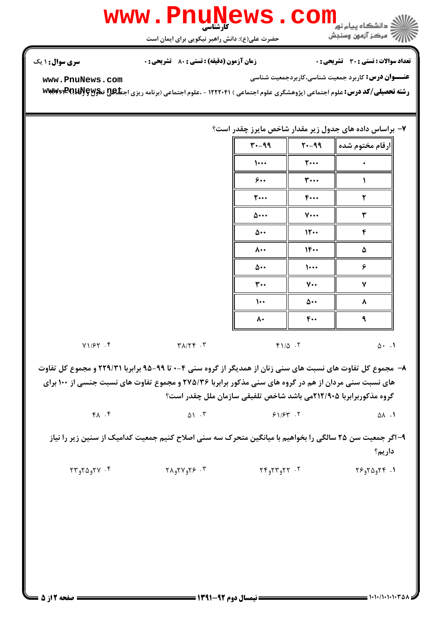

حضرت علي(ع): دانش راهبر نيكويي براي ايمان است

نعداد سوالات : تستي : 30 ٪ تشريحي : . زمان آزمون (دقيقه) : تستي : 80 ٪ تشريحي : 0 ٪ سري سوال : 1 يك

**عنـــوان درس:** کاربرد جمعیت شناسی،کاربردجمعیت شناسی

**[www.PnuNews.com](http://pnunews.com)**

ر**شته تحصیلی/کد درس:** علوم اجتماعی (پژوهشگری علوم اجتماعی ) ۱۲۲۲۰۴۱ - ،علوم اجتماعی (برنامه ریزی اجت**تاگیج تنگلاتا پاکلا با تاکل**اتا

## ۷– براساس داده های جدول زیر مقدار شاخص مایرز چقدر است؟

| 30-17                       | 20-17               | ارقام مختوم شده |
|-----------------------------|---------------------|-----------------|
| $\cdots$                    | $\mathbf{y} \cdots$ |                 |
| 9                           | ۳                   |                 |
| <b>T</b> …                  | $F \cdots$          | ۲               |
| ۵۰۰۰                        | $V \cdots$          | ٣               |
| $\Delta \cdot \cdot$        | 11                  | ۴               |
| $\mathsf{A}\cdot\mathsf{A}$ | $1F \cdots$         | ۵               |
| ۵۰۰                         | $\dots$             | ۶               |
| $\mathbf{r}$ .              | $V \cdot \cdot$     | ٧               |
| $\dots$                     | ۵۰۰                 | ٨               |
| ۸۰                          | $f \cdot \cdot$     | ٩               |

 $Y1/FY$  . T  $Y1/\sqrt{2}$  . T  $\Delta$  . 1

۸– مجموع کل تفاوت های نسبت های سنی زنان از همدیگر از گروه سنی ۴-۰ تا ۹۹-۹۵ برابربا ۲۲۹/۳۱ و مجموع کل تفاوت های نسبت سنی مردان از هم در گروه های سنی مذکور برابربا ۲۷۵/۳۶ و مجموع تفاوت های نسبت جنسی از ۱۰۰ برای گروه مذکوربرابربا ۲۱۲/۹۰۵می باشد شاخص تلفیقی سازمان ملل چقدر است؟

> $\begin{array}{ccccccc} \gamma & \gamma & \gamma & \gamma & \gamma & \gamma & \gamma & \gamma & \gamma \end{array}$  $\alpha$  ,  $\alpha$  ,  $\beta$  ,  $\beta$  ,  $\gamma$  ,  $\gamma$  ,  $\alpha$  ,  $\alpha$  ,  $\alpha$

۹– اگر جمعیت سن ۲۵ سالگی را بخواهیم با میانگین متحرک سه سنی اصلاح کنیم جمعیت کدامیک از سنین زیر را نیاز داريم؟

ا. ۲۴و۲۵و۲۶ - ۲۰ تاریخ ۲۴و۲۲و ۳۴ میلادی می شود و ۲۸و۲۷و ۲۳ میلادی که تا ۲۴و۲۵و ۲۳<br>د اولی کلی بینی سی تا ۲۴و ۲۳و تا ۲۵و تا ۲۵و ۲۸و ۲۵ میلادی بینی از ۲۸و ۲۵و ۲۳ میلادی به تا ۲۳و ۲۵و ۲۳ میلادی به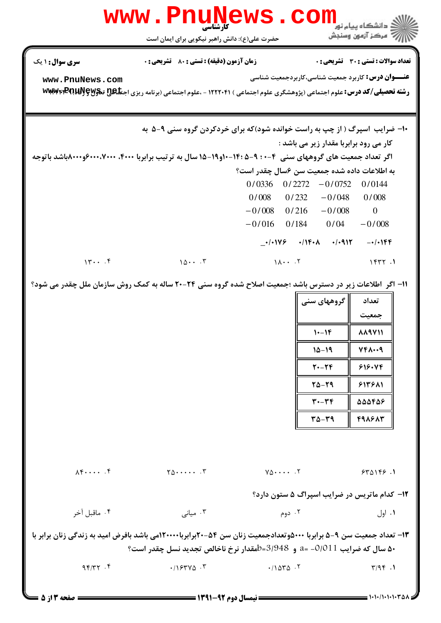| w w w                                                                                                                                                                                           | کارشناسی                                                                                                                 |                                           |                                                          | د دانشگاه پيام نو <b>ر</b>                                |
|-------------------------------------------------------------------------------------------------------------------------------------------------------------------------------------------------|--------------------------------------------------------------------------------------------------------------------------|-------------------------------------------|----------------------------------------------------------|-----------------------------------------------------------|
|                                                                                                                                                                                                 | حضرت علی(ع): دانش راهبر نیکویی برای ایمان است                                                                            |                                           |                                                          | 7' مرڪز آزمون وسنڊش                                       |
| <b>سری سوال :</b> ۱ یک                                                                                                                                                                          | <b>زمان آزمون (دقیقه) : تستی : 80 ٪ تشریحی : 0</b>                                                                       |                                           |                                                          | تعداد سوالات : تستى : 30 قشريحى : 0                       |
| www.PnuNews.com                                                                                                                                                                                 |                                                                                                                          |                                           |                                                          | <b>عنـــوان درس:</b> کاربرد جمعیت شناسی،کاربردجمعیت شناسی |
|                                                                                                                                                                                                 | رشته تحصیلی/کد درس: علوم اجتماعی (پژوهشگری علوم اجتماعی ) ۱۲۲۲۰۴۱ - ،علوم اجتماعی (برنامه ریزی اجتلگلی تگولایاپا۲۳۹۲۳۳۳۳ |                                           |                                                          |                                                           |
|                                                                                                                                                                                                 |                                                                                                                          |                                           |                                                          |                                                           |
|                                                                                                                                                                                                 | ۱۰- ضرایب اسپرگ ( از چپ به راست خوانده شود)که برای خردکردن گروه سنی ۹-۵ به                                               |                                           |                                                          |                                                           |
|                                                                                                                                                                                                 |                                                                                                                          |                                           | کار می رود برابربا مقدار زیر می باشد :                   |                                                           |
|                                                                                                                                                                                                 | اگر تعداد جمعیت های گروههای سنی ۴-۰۰ ۹-۵۰ :۱۴-۱۰و۱۹-۱۵ سال به ترتیب برابربا ۴۰۰۰، ۶۰۰۰،۷۰۰۰\$و۸۰۰۰باشد باتوجه            |                                           |                                                          |                                                           |
|                                                                                                                                                                                                 |                                                                                                                          | $0/0336$ 0/2272                           | به اطلاعات داده شده جمعیت سن ۶سال چقدر است؟<br>$-0/0752$ | 0/0144                                                    |
|                                                                                                                                                                                                 |                                                                                                                          | 0/008<br>0/232                            | $-0/048$                                                 | 0/008                                                     |
|                                                                                                                                                                                                 |                                                                                                                          | $-0/008$ 0/216                            | $-0/008$                                                 | $\overline{0}$                                            |
|                                                                                                                                                                                                 |                                                                                                                          | $-0/016$                                  | $0/184$ $0/04$                                           | $-0/008$                                                  |
|                                                                                                                                                                                                 |                                                                                                                          |                                           | $-1/1149$ $-1/19.1$ $-1/1917$                            | $-1)$ . $155$                                             |
| 14                                                                                                                                                                                              | 107                                                                                                                      | $1\Lambda \cdot \cdot \cdot$ . $\Upsilon$ |                                                          | 1577.1                                                    |
|                                                                                                                                                                                                 | ۱۱- اگر ًاطلاعات زیر در دسترس باشد ؛جمعیت اصلاح شده گروه سنی ۲۴-۲۰ ساله به کمک روش سازمان ملل چقدر می شود؟               |                                           |                                                          |                                                           |
|                                                                                                                                                                                                 |                                                                                                                          |                                           | گروههای سنی                                              | تعداد                                                     |
|                                                                                                                                                                                                 |                                                                                                                          |                                           |                                                          | جمعيت                                                     |
|                                                                                                                                                                                                 |                                                                                                                          |                                           | $1 - 16$                                                 | <b>AA9V11</b>                                             |
|                                                                                                                                                                                                 |                                                                                                                          |                                           | 15-19                                                    | 747009                                                    |
|                                                                                                                                                                                                 |                                                                                                                          |                                           | $Y - Yf$                                                 | 818.99                                                    |
|                                                                                                                                                                                                 |                                                                                                                          |                                           | $T\Delta - T9$                                           | 514511                                                    |
|                                                                                                                                                                                                 |                                                                                                                          |                                           | $T - TF$                                                 | 55568                                                     |
|                                                                                                                                                                                                 |                                                                                                                          |                                           | $T\Delta - T9$                                           | 498887                                                    |
|                                                                                                                                                                                                 |                                                                                                                          |                                           |                                                          |                                                           |
|                                                                                                                                                                                                 |                                                                                                                          |                                           |                                                          |                                                           |
| $\lambda \xi \cdots \xi$                                                                                                                                                                        | $Y_0 \cdots Y_n$                                                                                                         | $Y_0 \cdots Y$                            |                                                          | 540169.1                                                  |
|                                                                                                                                                                                                 |                                                                                                                          |                                           |                                                          | ۱۲- کدام ماتریس در ضرایب اسپراگ ۵ ستون دارد؟              |
| ۰۴ ماقبل آخر                                                                                                                                                                                    | ۰۳ میانی                                                                                                                 | ۰۲ دوم                                    |                                                          | ۰۱ اول                                                    |
| ۱۳– تعداد جمعیت سن ۹–۵ برابربا ۵۰۰۰هوتعدادجمعیت زنان سن ۵۴–۲۰برابربا۱۲۰۰۰۰می باشد بافرض امید به زندگی زنان برابر با<br>۵۰ سال که ضرایب 011/01- =a و 3/948=طمقدار نرخ ناخالص تجدید نسل چقدر است؟ |                                                                                                                          |                                           |                                                          |                                                           |
| 95/77.5                                                                                                                                                                                         | $.1954V$ $.7$                                                                                                            | .11040.7                                  |                                                          | T/9F.1                                                    |
|                                                                                                                                                                                                 |                                                                                                                          |                                           |                                                          |                                                           |
|                                                                                                                                                                                                 |                                                                                                                          |                                           |                                                          |                                                           |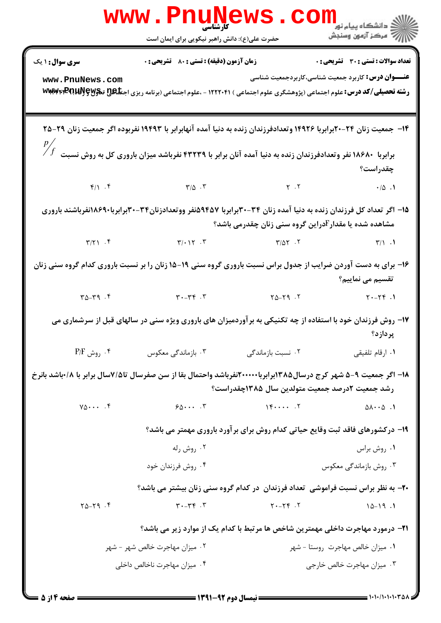| <b>WWW</b>                                                                                                                                                                            | UN<br>کارشناسی<br>حضرت علی(ع): دانش راهبر نیکویی برای ایمان است |                                                                                                                                              |                                                           |  |
|---------------------------------------------------------------------------------------------------------------------------------------------------------------------------------------|-----------------------------------------------------------------|----------------------------------------------------------------------------------------------------------------------------------------------|-----------------------------------------------------------|--|
| <b>سری سوال : ۱ یک</b>                                                                                                                                                                | زمان آزمون (دقیقه) : تستی : 80 ٪ تشریحی : 0                     |                                                                                                                                              | <b>تعداد سوالات : تستی : 30 ٪ تشریحی : 0</b>              |  |
| www.PnuNews.com                                                                                                                                                                       |                                                                 | <b>رشته تحصیلی/کد درس: ع</b> لوم اجتماعی (پژوهشگری علوم اجتماعی ) ۱۲۲۲۰۴۱ - ،علوم اجتماعی (برنامه ریزی اجت <b>تاگی تیگولاکی WWW4FPQUUJ S</b> | <b>عنـــوان درس:</b> کاربرد جمعیت شناسی،کاربردجمعیت شناسی |  |
|                                                                                                                                                                                       |                                                                 | ۱۴– جمعیت زنان ۲۴–۲۰برابربا ۱۴۹۲۶ وتعدادفرزندان زنده به دنیا آمده آنهابرابر با ۱۹۴۹۳ نفربوده اگر جمعیت زنان ۲۹–۲۵                            |                                                           |  |
|                                                                                                                                                                                       |                                                                 | $\frac{p}{f}$ برابربا ۱۸۶۸۰ نفر وتعدادفرزندان زنده به دنیا آمده آنان برابر با ۴۳۲۳۹ نفرباشد میزان باروری کل به روش نسبت $f$                  | چقدراست؟                                                  |  |
|                                                                                                                                                                                       |                                                                 | $Y/\Delta$ $Y/\Delta$ $Y$ $Y/\Delta$ $Y$ $Y$ $Y$ $Y$                                                                                         |                                                           |  |
| ۱۵– اگر تعداد کل فرزندان زنده به دنیا آمده زنان ۳۴-۳۰برابربا ۵۹۴۵۷نفر ووتعدادزنان۳۴-۳۰برابربا۸۶۹۰نفرباشند باروری<br>مشاهده شده یا مقدار <sup>1</sup> دراین گروه سنی زنان چقدرمی باشد؟ |                                                                 |                                                                                                                                              |                                                           |  |
|                                                                                                                                                                                       |                                                                 | $\mathsf{r}/\mathsf{r}$ . $\mathsf{r}$ . $\mathsf{r}$ . $\mathsf{r}$ . $\mathsf{r}$ . $\mathsf{r}$ . T                                       | $\mathcal{L} \setminus \mathcal{L}$                       |  |
| ۱۶- برای به دست آوردن ضرایب از جدول براس نسبت باروری گروه سنی ۱۹-۱۵ زنان را بر نسبت باروری کدام گروه سنی زنان<br>تقسیم می نماییم؟                                                     |                                                                 |                                                                                                                                              |                                                           |  |
| $T - \gamma^2$                                                                                                                                                                        |                                                                 | $Y - YY$ T $Y_0 - YY$ T $Y_1 - YY$ T $Y - YY$                                                                                                |                                                           |  |
| ۱۷– روش فرزندان خود با استفاده از چه تکنیکی به برآوردمیزان های باروری ویژه سنی در سالهای قبل از سرشماری می<br>پردازد؟                                                                 |                                                                 |                                                                                                                                              |                                                           |  |
| $P/F$ روش $\cdot$ *                                                                                                                                                                   | ۰۳ بازماندگی معکوس                                              | ۰۲ نسبت بازماندگی                                                                                                                            | ۰۱ ارقام تلفیقی                                           |  |
| ۱۸– اگر جمعیت ۹-۵ شهر کرج درسال۱۳۸۵برابربا۲۰۰۰۰۰نفرباشد واحتمال بقا از سن صفرسال تا۱۷/سال برابر با ۱۸/باشد بانرخ<br>رشد جمعیت ۲درصد جمعیت متولدین سال ۱۳۸۵چقدراست؟                    |                                                                 |                                                                                                                                              |                                                           |  |
| $Y_0 \cdots$ . $F$                                                                                                                                                                    | $50 \cdots$ $5$                                                 | $\uparrow \uparrow \cdots \uparrow \uparrow$                                                                                                 | $0 \wedge \cdot \cdot 0$ .                                |  |
|                                                                                                                                                                                       |                                                                 | ۱۹- درکشورهای فاقد ثبت وقایع حیاتی کدام روش برای برآورد باروری مهمتر می باشد؟                                                                |                                                           |  |
|                                                                                                                                                                                       | ۰۲ روش رله                                                      |                                                                                                                                              | ۰۱ روش براس                                               |  |
|                                                                                                                                                                                       | ۰۴ روش فرزندان خود                                              |                                                                                                                                              | ۰۳ روش بازماندگی معکوس                                    |  |
|                                                                                                                                                                                       |                                                                 | ۲۰- به نظر براس نسبت فراموشی ً تعداد فرزندان ً در کدام گروه سنی زنان بیشتر می باشد؟                                                          |                                                           |  |
| $Y\Delta-Y9$ .                                                                                                                                                                        | $T - Tf$ .                                                      | $Y - Yf$ .                                                                                                                                   | $10 - 19.1$                                               |  |
|                                                                                                                                                                                       |                                                                 | <b>۲۱</b> - درمورد مهاجرت داخلی مهمترین شاخص ها مرتبط با کدام یک از موارد زیر می باشد؟                                                       |                                                           |  |
|                                                                                                                                                                                       | ۰۲ میزان مهاجرت خالص شهر – شهر                                  |                                                                                                                                              | ۰۱ میزان خالص مهاجرت روستا - شهر                          |  |
|                                                                                                                                                                                       | ۰۴ میزان مهاجرت ناخالص داخلی                                    |                                                                                                                                              | ۰۳ میزان مهاجرت خالص خارجی                                |  |